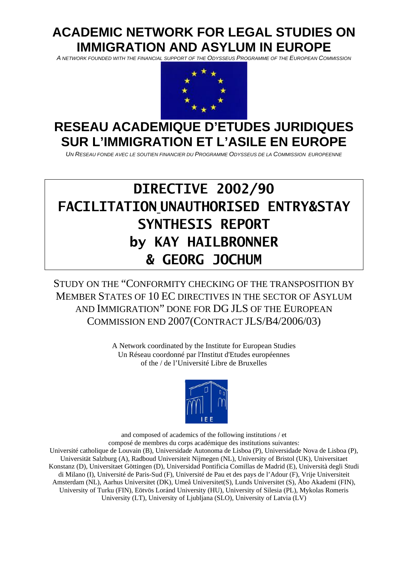# **ACADEMIC NETWORK FOR LEGAL STUDIES ON IMMIGRATION AND ASYLUM IN EUROPE**

*A NETWORK FOUNDED WITH THE FINANCIAL SUPPORT OF THE ODYSSEUS PROGRAMME OF THE EUROPEAN COMMISSION* 



# **RESEAU ACADEMIQUE D'ETUDES JURIDIQUES SUR L'IMMIGRATION ET L'ASILE EN EUROPE**

*UN RESEAU FONDE AVEC LE SOUTIEN FINANCIER DU PROGRAMME ODYSSEUS DE LA COMMISSION EUROPEENNE*

# **DIRECTIVE 2002/90 FACILITATION UNAUTHORISED ENTRY&STAY SYNTHESIS REPORT by KAY HAILBRONNER & GEORG JOCHUM**

STUDY ON THE "CONFORMITY CHECKING OF THE TRANSPOSITION BY MEMBER STATES OF 10 EC DIRECTIVES IN THE SECTOR OF ASYLUM AND IMMIGRATION" DONE FOR DG JLS OF THE EUROPEAN COMMISSION END 2007(CONTRACT JLS/B4/2006/03)

> A Network coordinated by the Institute for European Studies Un Réseau coordonné par l'Institut d'Etudes européennes of the / de l'Université Libre de Bruxelles



and composed of academics of the following institutions / et composé de membres du corps académique des institutions suivantes: Université catholique de Louvain (B), Universidade Autonoma de Lisboa (P), Universidade Nova de Lisboa (P), Universität Salzburg (A), Radboud Universiteit Nijmegen (NL), University of Bristol (UK), Universitaet Konstanz (D), Universitaet Göttingen (D), Universidad Pontificia Comillas de Madrid (E), Università degli Studi di Milano (I), Université de Paris-Sud (F), Université de Pau et des pays de l'Adour (F), Vrije Universiteit Amsterdam (NL), Aarhus Universitet (DK), Umeå Universitet(S), Lunds Universitet (S), [Åbo Akademi](http://www.abo.fi/aa/) (FIN), University of Turku (FIN), Eötvös Loránd University (HU), [University](http://www.us.edu.pl/) of Silesia (PL), Mykolas Romeris University (LT), University of Ljubljana (SLO), University of Latvia (LV)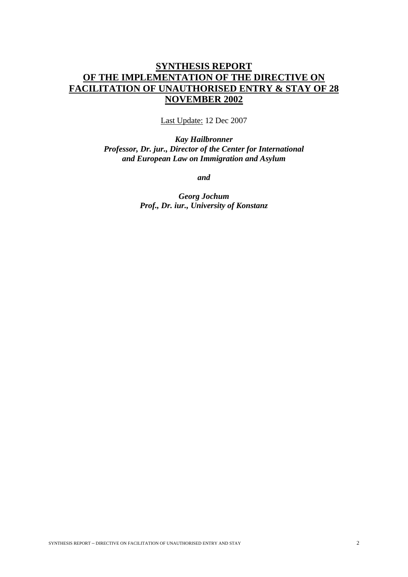## **SYNTHESIS REPORT OF THE IMPLEMENTATION OF THE DIRECTIVE ON FACILITATION OF UNAUTHORISED ENTRY & STAY OF 28 NOVEMBER 2002**

Last Update: 12 Dec 2007

*Kay Hailbronner Professor, Dr. jur., Director of the Center for International and European Law on Immigration and Asylum* 

*and* 

*Georg Jochum Prof., Dr. iur., University of Konstanz*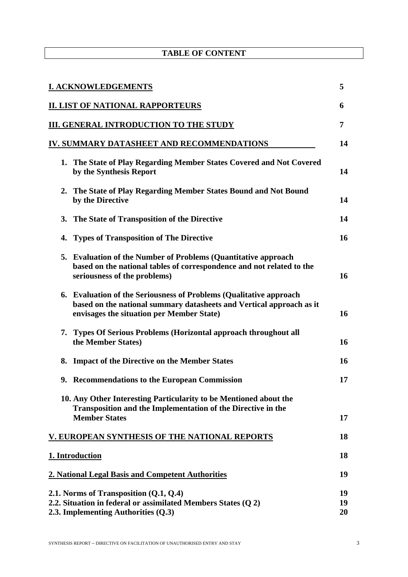## **TABLE OF CONTENT**

|    | <b>I. ACKNOWLEDGEMENTS</b>                                                                                                                                                              | 5              |
|----|-----------------------------------------------------------------------------------------------------------------------------------------------------------------------------------------|----------------|
|    | <b>II. LIST OF NATIONAL RAPPORTEURS</b>                                                                                                                                                 | 6              |
|    | <b>III. GENERAL INTRODUCTION TO THE STUDY</b>                                                                                                                                           | 7              |
|    | IV. SUMMARY DATASHEET AND RECOMMENDATIONS                                                                                                                                               | 14             |
|    | 1. The State of Play Regarding Member States Covered and Not Covered<br>by the Synthesis Report                                                                                         | 14             |
|    | 2. The State of Play Regarding Member States Bound and Not Bound<br>by the Directive                                                                                                    | 14             |
|    | 3. The State of Transposition of the Directive                                                                                                                                          | 14             |
| 4. | <b>Types of Transposition of The Directive</b>                                                                                                                                          | 16             |
|    | 5. Evaluation of the Number of Problems (Quantitative approach<br>based on the national tables of correspondence and not related to the<br>seriousness of the problems)                 | 16             |
|    | 6. Evaluation of the Seriousness of Problems (Qualitative approach<br>based on the national summary datasheets and Vertical approach as it<br>envisages the situation per Member State) | 16             |
|    | 7. Types Of Serious Problems (Horizontal approach throughout all<br>the Member States)                                                                                                  | 16             |
|    | 8. Impact of the Directive on the Member States                                                                                                                                         | 16             |
|    | 9. Recommendations to the European Commission                                                                                                                                           | 17             |
|    | 10. Any Other Interesting Particularity to be Mentioned about the<br>Transposition and the Implementation of the Directive in the<br><b>Member States</b>                               | 17             |
|    | V. EUROPEAN SYNTHESIS OF THE NATIONAL REPORTS                                                                                                                                           | 18             |
|    | 1. Introduction                                                                                                                                                                         | 18             |
|    | 2. National Legal Basis and Competent Authorities                                                                                                                                       | 19             |
|    | 2.1. Norms of Transposition $(Q.1, Q.4)$<br>2.2. Situation in federal or assimilated Members States (Q 2)<br>2.3. Implementing Authorities (Q.3)                                        | 19<br>19<br>20 |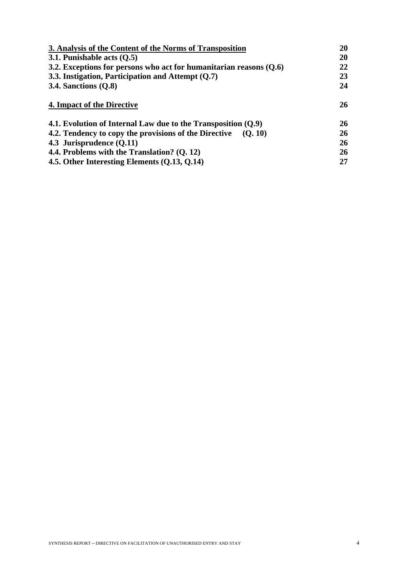| 3. Analysis of the Content of the Norms of Transposition             |           |
|----------------------------------------------------------------------|-----------|
| 3.1. Punishable acts $(0.5)$                                         | 20        |
| 3.2. Exceptions for persons who act for humanitarian reasons $(0.6)$ | 22        |
| 3.3. Instigation, Participation and Attempt $(Q.7)$                  |           |
| 3.4. Sanctions $(Q.8)$                                               |           |
| 4. Impact of the Directive                                           | 26        |
| 4.1. Evolution of Internal Law due to the Transposition $(Q.9)$      | 26        |
| 4.2. Tendency to copy the provisions of the Directive<br>(O. 10)     | 26        |
| 4.3 Jurisprudence $(Q.11)$                                           | <b>26</b> |
| 4.4. Problems with the Translation? (Q. 12)                          | <b>26</b> |
| 4.5. Other Interesting Elements (Q.13, Q.14)                         | 27        |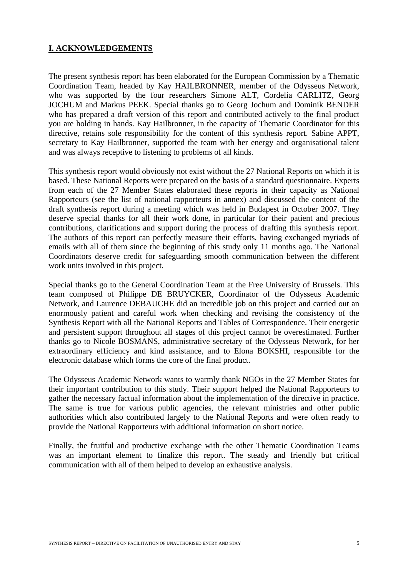## **I. ACKNOWLEDGEMENTS**

The present synthesis report has been elaborated for the European Commission by a Thematic Coordination Team, headed by Kay HAILBRONNER, member of the Odysseus Network, who was supported by the four researchers Simone ALT, Cordelia CARLITZ, Georg JOCHUM and Markus PEEK. Special thanks go to Georg Jochum and Dominik BENDER who has prepared a draft version of this report and contributed actively to the final product you are holding in hands. Kay Hailbronner, in the capacity of Thematic Coordinator for this directive, retains sole responsibility for the content of this synthesis report. Sabine APPT, secretary to Kay Hailbronner, supported the team with her energy and organisational talent and was always receptive to listening to problems of all kinds.

This synthesis report would obviously not exist without the 27 National Reports on which it is based. These National Reports were prepared on the basis of a standard questionnaire. Experts from each of the 27 Member States elaborated these reports in their capacity as National Rapporteurs (see the list of national rapporteurs in annex) and discussed the content of the draft synthesis report during a meeting which was held in Budapest in October 2007. They deserve special thanks for all their work done, in particular for their patient and precious contributions, clarifications and support during the process of drafting this synthesis report. The authors of this report can perfectly measure their efforts, having exchanged myriads of emails with all of them since the beginning of this study only 11 months ago. The National Coordinators deserve credit for safeguarding smooth communication between the different work units involved in this project.

Special thanks go to the General Coordination Team at the Free University of Brussels. This team composed of Philippe DE BRUYCKER, Coordinator of the Odysseus Academic Network, and Laurence DEBAUCHE did an incredible job on this project and carried out an enormously patient and careful work when checking and revising the consistency of the Synthesis Report with all the National Reports and Tables of Correspondence. Their energetic and persistent support throughout all stages of this project cannot be overestimated. Further thanks go to Nicole BOSMANS, administrative secretary of the Odysseus Network, for her extraordinary efficiency and kind assistance, and to Elona BOKSHI, responsible for the electronic database which forms the core of the final product.

The Odysseus Academic Network wants to warmly thank NGOs in the 27 Member States for their important contribution to this study. Their support helped the National Rapporteurs to gather the necessary factual information about the implementation of the directive in practice. The same is true for various public agencies, the relevant ministries and other public authorities which also contributed largely to the National Reports and were often ready to provide the National Rapporteurs with additional information on short notice.

Finally, the fruitful and productive exchange with the other Thematic Coordination Teams was an important element to finalize this report. The steady and friendly but critical communication with all of them helped to develop an exhaustive analysis.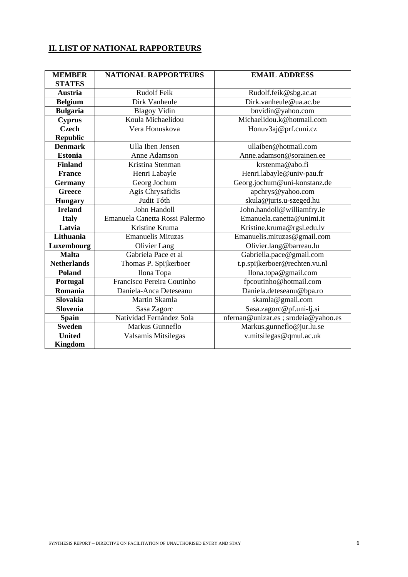## **II. LIST OF NATIONAL RAPPORTEURS**

| <b>MEMBER</b>      | <b>NATIONAL RAPPORTEURS</b>    | <b>EMAIL ADDRESS</b>                 |
|--------------------|--------------------------------|--------------------------------------|
| <b>STATES</b>      |                                |                                      |
| Austria            | Rudolf Feik                    | Rudolf.feik@sbg.ac.at                |
| <b>Belgium</b>     | Dirk Vanheule                  | Dirk.vanheule@ua.ac.be               |
| <b>Bulgaria</b>    | <b>Blagoy Vidin</b>            | bnvidin@yahoo.com                    |
| <b>Cyprus</b>      | Koula Michaelidou              | Michaelidou.k@hotmail.com            |
| <b>Czech</b>       | Vera Honuskova                 | Honuv3aj@prf.cuni.cz                 |
| <b>Republic</b>    |                                |                                      |
| <b>Denmark</b>     | Ulla Iben Jensen               | ullaiben@hotmail.com                 |
| <b>Estonia</b>     | Anne Adamson                   | Anne.adamson@sorainen.ee             |
| <b>Finland</b>     | Kristina Stenman               | krstenma@abo.fi                      |
| <b>France</b>      | Henri Labayle                  | Henri.labayle@univ-pau.fr            |
| <b>Germany</b>     | Georg Jochum                   | Georg.jochum@uni-konstanz.de         |
| <b>Greece</b>      | Agis Chrysafidis               | apchrys@yahoo.com                    |
| <b>Hungary</b>     | Judit Tóth                     | skula@juris.u-szeged.hu              |
| <b>Ireland</b>     | John Handoll                   | John.handoll@williamfry.ie           |
| <b>Italy</b>       | Emanuela Canetta Rossi Palermo | Emanuela.canetta@unimi.it            |
| Latvia             | Kristine Kruma                 | Kristine.kruma@rgsl.edu.lv           |
| Lithuania          | <b>Emanuelis Mituzas</b>       | Emanuelis.mituzas@gmail.com          |
| Luxembourg         | Olivier Lang                   | Olivier.lang@barreau.lu              |
| <b>Malta</b>       | Gabriela Pace et al            | Gabriella.pace@gmail.com             |
| <b>Netherlands</b> | Thomas P. Spijkerboer          | t.p.spijkerboer@rechten.vu.nl        |
| Poland             | Ilona Topa                     | Ilona.topa@gmail.com                 |
| Portugal           | Francisco Pereira Coutinho     | fpcoutinho@hotmail.com               |
| Romania            | Daniela-Anca Deteseanu         | Daniela.deteseanu@bpa.ro             |
| Slovakia           | Martin Skamla                  | skamla@gmail.com                     |
| Slovenia           | Sasa Zagorc                    | Sasa.zagorc@pf.uni-lj.si             |
| <b>Spain</b>       | Natividad Fernández Sola       | nfernan@unizar.es ; srodeia@yahoo.es |
| <b>Sweden</b>      | Markus Gunneflo                | Markus.gunneflo@jur.lu.se            |
| <b>United</b>      | Valsamis Mitsilegas            | v.mitsilegas@qmul.ac.uk              |
| <b>Kingdom</b>     |                                |                                      |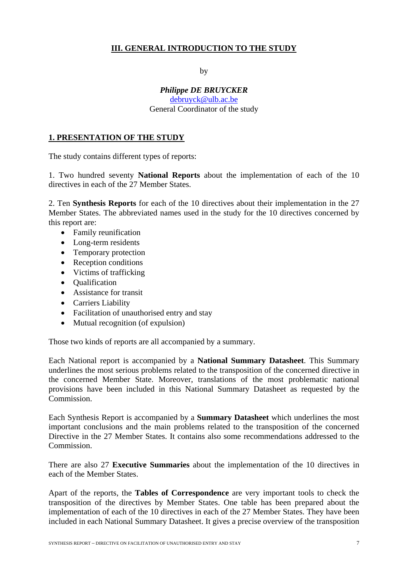## **III. GENERAL INTRODUCTION TO THE STUDY**

by

#### *Philippe DE BRUYCKER*  [debruyck@ulb.ac.be](mailto:debruyck@ulb.ac.be) General Coordinator of the study

## **1. PRESENTATION OF THE STUDY**

The study contains different types of reports:

1. Two hundred seventy **National Reports** about the implementation of each of the 10 directives in each of the 27 Member States.

2. Ten **Synthesis Reports** for each of the 10 directives about their implementation in the 27 Member States. The abbreviated names used in the study for the 10 directives concerned by this report are:

- Family reunification
- Long-term residents
- Temporary protection
- Reception conditions
- Victims of trafficking
- Qualification
- Assistance for transit
- Carriers Liability
- Facilitation of unauthorised entry and stay
- Mutual recognition (of expulsion)

Those two kinds of reports are all accompanied by a summary.

Each National report is accompanied by a **National Summary Datasheet**. This Summary underlines the most serious problems related to the transposition of the concerned directive in the concerned Member State. Moreover, translations of the most problematic national provisions have been included in this National Summary Datasheet as requested by the Commission.

Each Synthesis Report is accompanied by a **Summary Datasheet** which underlines the most important conclusions and the main problems related to the transposition of the concerned Directive in the 27 Member States. It contains also some recommendations addressed to the Commission.

There are also 27 **Executive Summaries** about the implementation of the 10 directives in each of the Member States.

Apart of the reports, the **Tables of Correspondence** are very important tools to check the transposition of the directives by Member States. One table has been prepared about the implementation of each of the 10 directives in each of the 27 Member States. They have been included in each National Summary Datasheet. It gives a precise overview of the transposition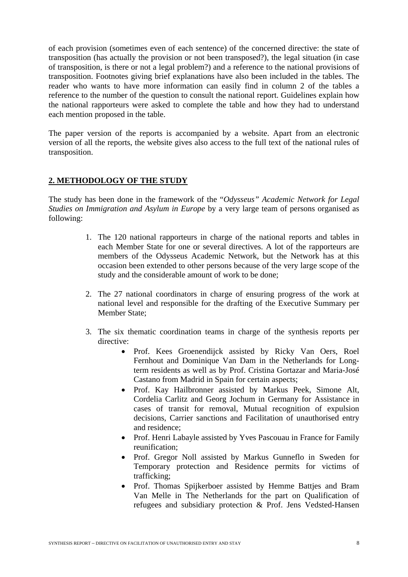of each provision (sometimes even of each sentence) of the concerned directive: the state of transposition (has actually the provision or not been transposed?), the legal situation (in case of transposition, is there or not a legal problem?) and a reference to the national provisions of transposition. Footnotes giving brief explanations have also been included in the tables. The reader who wants to have more information can easily find in column 2 of the tables a reference to the number of the question to consult the national report. Guidelines explain how the national rapporteurs were asked to complete the table and how they had to understand each mention proposed in the table.

The paper version of the reports is accompanied by a website. Apart from an electronic version of all the reports, the website gives also access to the full text of the national rules of transposition.

## **2. METHODOLOGY OF THE STUDY**

The study has been done in the framework of the "*Odysseus" Academic Network for Legal Studies on Immigration and Asylum in Europe* by a very large team of persons organised as following:

- 1. The 120 national rapporteurs in charge of the national reports and tables in each Member State for one or several directives. A lot of the rapporteurs are members of the Odysseus Academic Network, but the Network has at this occasion been extended to other persons because of the very large scope of the study and the considerable amount of work to be done;
- 2. The 27 national coordinators in charge of ensuring progress of the work at national level and responsible for the drafting of the Executive Summary per Member State;
- 3. The six thematic coordination teams in charge of the synthesis reports per directive:
	- Prof. Kees Groenendijck assisted by Ricky Van Oers, Roel Fernhout and Dominique Van Dam in the Netherlands for Longterm residents as well as by Prof. Cristina Gortazar and Maria-José Castano from Madrid in Spain for certain aspects;
	- Prof. Kay Hailbronner assisted by Markus Peek, Simone Alt, Cordelia Carlitz and Georg Jochum in Germany for Assistance in cases of transit for removal, Mutual recognition of expulsion decisions, Carrier sanctions and Facilitation of unauthorised entry and residence;
	- Prof. Henri Labayle assisted by Yves Pascouau in France for Family reunification;
	- Prof. Gregor Noll assisted by Markus Gunneflo in Sweden for Temporary protection and Residence permits for victims of trafficking;
	- Prof. Thomas Spijkerboer assisted by Hemme Batties and Bram Van Melle in The Netherlands for the part on Qualification of refugees and subsidiary protection & Prof. Jens Vedsted-Hansen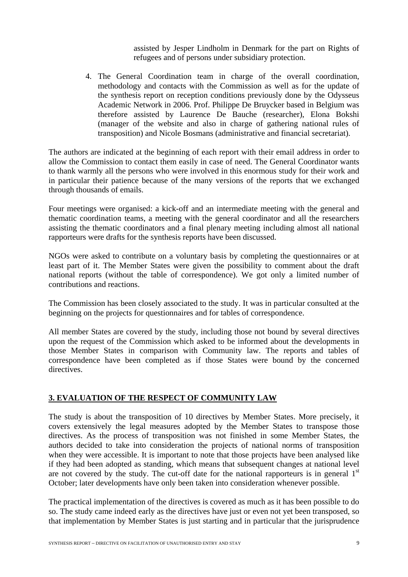assisted by Jesper Lindholm in Denmark for the part on Rights of refugees and of persons under subsidiary protection.

4. The General Coordination team in charge of the overall coordination, methodology and contacts with the Commission as well as for the update of the synthesis report on reception conditions previously done by the Odysseus Academic Network in 2006. Prof. Philippe De Bruycker based in Belgium was therefore assisted by Laurence De Bauche (researcher), Elona Bokshi (manager of the website and also in charge of gathering national rules of transposition) and Nicole Bosmans (administrative and financial secretariat).

The authors are indicated at the beginning of each report with their email address in order to allow the Commission to contact them easily in case of need. The General Coordinator wants to thank warmly all the persons who were involved in this enormous study for their work and in particular their patience because of the many versions of the reports that we exchanged through thousands of emails.

Four meetings were organised: a kick-off and an intermediate meeting with the general and thematic coordination teams, a meeting with the general coordinator and all the researchers assisting the thematic coordinators and a final plenary meeting including almost all national rapporteurs were drafts for the synthesis reports have been discussed.

NGOs were asked to contribute on a voluntary basis by completing the questionnaires or at least part of it. The Member States were given the possibility to comment about the draft national reports (without the table of correspondence). We got only a limited number of contributions and reactions.

The Commission has been closely associated to the study. It was in particular consulted at the beginning on the projects for questionnaires and for tables of correspondence.

All member States are covered by the study, including those not bound by several directives upon the request of the Commission which asked to be informed about the developments in those Member States in comparison with Community law. The reports and tables of correspondence have been completed as if those States were bound by the concerned directives.

## **3. EVALUATION OF THE RESPECT OF COMMUNITY LAW**

The study is about the transposition of 10 directives by Member States. More precisely, it covers extensively the legal measures adopted by the Member States to transpose those directives. As the process of transposition was not finished in some Member States, the authors decided to take into consideration the projects of national norms of transposition when they were accessible. It is important to note that those projects have been analysed like if they had been adopted as standing, which means that subsequent changes at national level are not covered by the study. The cut-off date for the national rapporteurs is in general  $1<sup>st</sup>$ October; later developments have only been taken into consideration whenever possible.

The practical implementation of the directives is covered as much as it has been possible to do so. The study came indeed early as the directives have just or even not yet been transposed, so that implementation by Member States is just starting and in particular that the jurisprudence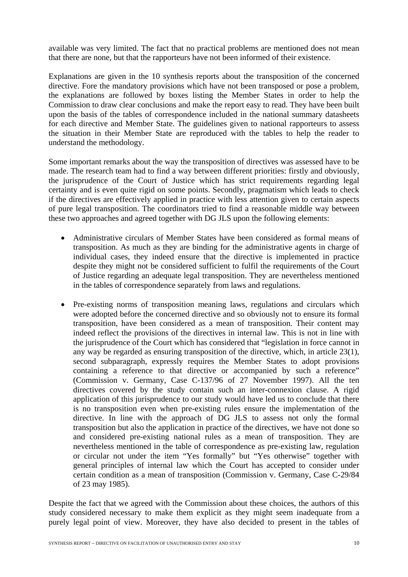available was very limited. The fact that no practical problems are mentioned does not mean that there are none, but that the rapporteurs have not been informed of their existence.

Explanations are given in the 10 synthesis reports about the transposition of the concerned directive. Fore the mandatory provisions which have not been transposed or pose a problem, the explanations are followed by boxes listing the Member States in order to help the Commission to draw clear conclusions and make the report easy to read. They have been built upon the basis of the tables of correspondence included in the national summary datasheets for each directive and Member State. The guidelines given to national rapporteurs to assess the situation in their Member State are reproduced with the tables to help the reader to understand the methodology.

Some important remarks about the way the transposition of directives was assessed have to be made. The research team had to find a way between different priorities: firstly and obviously, the jurisprudence of the Court of Justice which has strict requirements regarding legal certainty and is even quite rigid on some points. Secondly, pragmatism which leads to check if the directives are effectively applied in practice with less attention given to certain aspects of pure legal transposition. The coordinators tried to find a reasonable middle way between these two approaches and agreed together with DG JLS upon the following elements:

- Administrative circulars of Member States have been considered as formal means of transposition. As much as they are binding for the administrative agents in charge of individual cases, they indeed ensure that the directive is implemented in practice despite they might not be considered sufficient to fulfil the requirements of the Court of Justice regarding an adequate legal transposition. They are nevertheless mentioned in the tables of correspondence separately from laws and regulations.
- Pre-existing norms of transposition meaning laws, regulations and circulars which were adopted before the concerned directive and so obviously not to ensure its formal transposition, have been considered as a mean of transposition. Their content may indeed reflect the provisions of the directives in internal law. This is not in line with the jurisprudence of the Court which has considered that "legislation in force cannot in any way be regarded as ensuring transposition of the directive, which, in article 23(1), second subparagraph, expressly requires the Member States to adopt provisions containing a reference to that directive or accompanied by such a reference" (Commission v. Germany, Case C-137/96 of 27 November 1997). All the ten directives covered by the study contain such an inter-connexion clause. A rigid application of this jurisprudence to our study would have led us to conclude that there is no transposition even when pre-existing rules ensure the implementation of the directive. In line with the approach of DG JLS to assess not only the formal transposition but also the application in practice of the directives, we have not done so and considered pre-existing national rules as a mean of transposition. They are nevertheless mentioned in the table of correspondence as pre-existing law, regulation or circular not under the item "Yes formally" but "Yes otherwise" together with general principles of internal law which the Court has accepted to consider under certain condition as a mean of transposition (Commission v. Germany, Case C-29/84 of 23 may 1985).

Despite the fact that we agreed with the Commission about these choices, the authors of this study considered necessary to make them explicit as they might seem inadequate from a purely legal point of view. Moreover, they have also decided to present in the tables of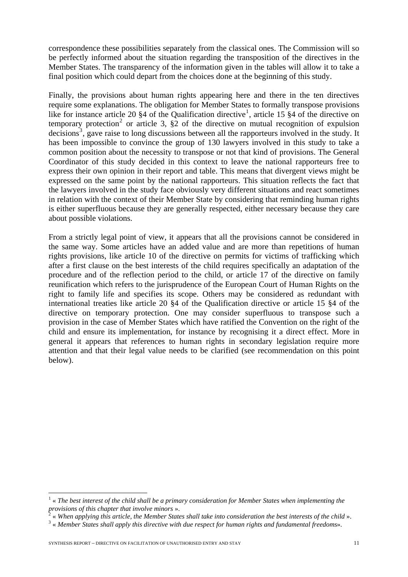correspondence these possibilities separately from the classical ones. The Commission will so be perfectly informed about the situation regarding the transposition of the directives in the Member States. The transparency of the information given in the tables will allow it to take a final position which could depart from the choices done at the beginning of this study.

Finally, the provisions about human rights appearing here and there in the ten directives require some explanations. The obligation for Member States to formally transpose provisions like for instance article 20  $\S 4$  of the Qualification directive<sup>[1](#page-10-0)</sup>, article 15  $\S 4$  of the directive on temporary protection<sup>[2](#page-10-1)</sup> or article 3,  $\S$ 2 of the directive on mutual recognition of expulsion decisions<sup>[3](#page-10-2)</sup>, gave raise to long discussions between all the rapporteurs involved in the study. It has been impossible to convince the group of 130 lawyers involved in this study to take a common position about the necessity to transpose or not that kind of provisions. The General Coordinator of this study decided in this context to leave the national rapporteurs free to express their own opinion in their report and table. This means that divergent views might be expressed on the same point by the national rapporteurs. This situation reflects the fact that the lawyers involved in the study face obviously very different situations and react sometimes in relation with the context of their Member State by considering that reminding human rights is either superfluous because they are generally respected, either necessary because they care about possible violations.

From a strictly legal point of view, it appears that all the provisions cannot be considered in the same way. Some articles have an added value and are more than repetitions of human rights provisions, like article 10 of the directive on permits for victims of trafficking which after a first clause on the best interests of the child requires specifically an adaptation of the procedure and of the reflection period to the child, or article 17 of the directive on family reunification which refers to the jurisprudence of the European Court of Human Rights on the right to family life and specifies its scope. Others may be considered as redundant with international treaties like article 20 §4 of the Qualification directive or article 15 §4 of the directive on temporary protection. One may consider superfluous to transpose such a provision in the case of Member States which have ratified the Convention on the right of the child and ensure its implementation, for instance by recognising it a direct effect. More in general it appears that references to human rights in secondary legislation require more attention and that their legal value needs to be clarified (see recommendation on this point below).

1

<span id="page-10-0"></span><sup>&</sup>lt;sup>1</sup> « The best interest of the child shall be a primary consideration for Member States when implementing the *provisions of this chapter that involve minors* ». 2

<span id="page-10-1"></span> <sup>«</sup> *When applying this article, the Member States shall take into consideration the best interests of the child* ». 3

<span id="page-10-2"></span> <sup>«</sup> *Member States shall apply this directive with due respect for human rights and fundamental freedoms*».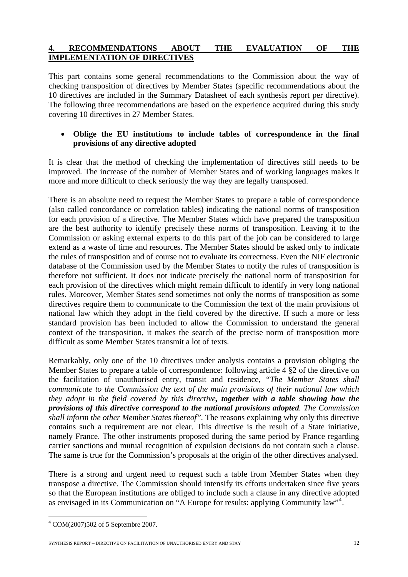## **4. RECOMMENDATIONS ABOUT THE EVALUATION OF THE IMPLEMENTATION OF DIRECTIVES**

This part contains some general recommendations to the Commission about the way of checking transposition of directives by Member States (specific recommendations about the 10 directives are included in the Summary Datasheet of each synthesis report per directive). The following three recommendations are based on the experience acquired during this study covering 10 directives in 27 Member States.

## • **Oblige the EU institutions to include tables of correspondence in the final provisions of any directive adopted**

It is clear that the method of checking the implementation of directives still needs to be improved. The increase of the number of Member States and of working languages makes it more and more difficult to check seriously the way they are legally transposed.

There is an absolute need to request the Member States to prepare a table of correspondence (also called concordance or correlation tables) indicating the national norms of transposition for each provision of a directive. The Member States which have prepared the transposition are the best authority to identify precisely these norms of transposition. Leaving it to the Commission or asking external experts to do this part of the job can be considered to large extend as a waste of time and resources. The Member States should be asked only to indicate the rules of transposition and of course not to evaluate its correctness. Even the NIF electronic database of the Commission used by the Member States to notify the rules of transposition is therefore not sufficient. It does not indicate precisely the national norm of transposition for each provision of the directives which might remain difficult to identify in very long national rules. Moreover, Member States send sometimes not only the norms of transposition as some directives require them to communicate to the Commission the text of the main provisions of national law which they adopt in the field covered by the directive. If such a more or less standard provision has been included to allow the Commission to understand the general context of the transposition, it makes the search of the precise norm of transposition more difficult as some Member States transmit a lot of texts.

Remarkably, only one of the 10 directives under analysis contains a provision obliging the Member States to prepare a table of correspondence: following article 4 §2 of the directive on the facilitation of unauthorised entry, transit and residence, *"The Member States shall communicate to the Commission the text of the main provisions of their national law which they adopt in the field covered by this directive, together with a table showing how the provisions of this directive correspond to the national provisions adopted. The Commission shall inform the other Member States thereof".* The reasons explaining why only this directive contains such a requirement are not clear. This directive is the result of a State initiative, namely France. The other instruments proposed during the same period by France regarding carrier sanctions and mutual recognition of expulsion decisions do not contain such a clause. The same is true for the Commission's proposals at the origin of the other directives analysed.

There is a strong and urgent need to request such a table from Member States when they transpose a directive. The Commission should intensify its efforts undertaken since five years so that the European institutions are obliged to include such a clause in any directive adopted as envisaged in its Communication on "A Europe for results: applying Community law"<sup>[4](#page-11-0)</sup>.

1

SYNTHESIS REPORT – DIRECTIVE ON FACILITATION OF UNAUTHORISED ENTRY AND STAY 12

<span id="page-11-0"></span><sup>4</sup> COM(2007)502 of 5 Septembre 2007.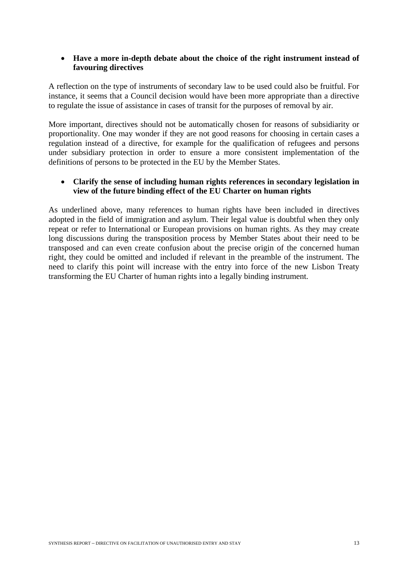#### • **Have a more in-depth debate about the choice of the right instrument instead of favouring directives**

A reflection on the type of instruments of secondary law to be used could also be fruitful. For instance, it seems that a Council decision would have been more appropriate than a directive to regulate the issue of assistance in cases of transit for the purposes of removal by air.

More important, directives should not be automatically chosen for reasons of subsidiarity or proportionality. One may wonder if they are not good reasons for choosing in certain cases a regulation instead of a directive, for example for the qualification of refugees and persons under subsidiary protection in order to ensure a more consistent implementation of the definitions of persons to be protected in the EU by the Member States.

## • **Clarify the sense of including human rights references in secondary legislation in view of the future binding effect of the EU Charter on human rights**

As underlined above, many references to human rights have been included in directives adopted in the field of immigration and asylum. Their legal value is doubtful when they only repeat or refer to International or European provisions on human rights. As they may create long discussions during the transposition process by Member States about their need to be transposed and can even create confusion about the precise origin of the concerned human right, they could be omitted and included if relevant in the preamble of the instrument. The need to clarify this point will increase with the entry into force of the new Lisbon Treaty transforming the EU Charter of human rights into a legally binding instrument.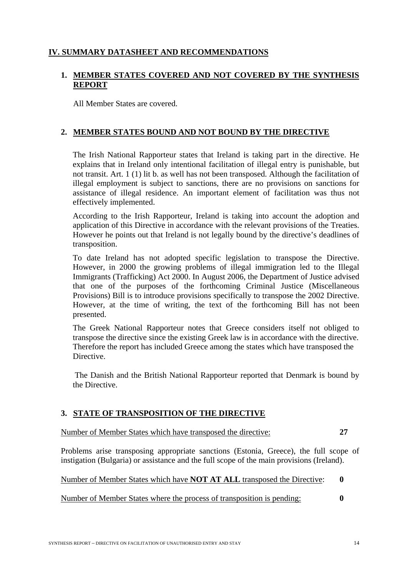## **IV. SUMMARY DATASHEET AND RECOMMENDATIONS**

## **1. MEMBER STATES COVERED AND NOT COVERED BY THE SYNTHESIS REPORT**

All Member States are covered.

## **2. MEMBER STATES BOUND AND NOT BOUND BY THE DIRECTIVE**

The Irish National Rapporteur states that Ireland is taking part in the directive. He explains that in Ireland only intentional facilitation of illegal entry is punishable, but not transit. Art. 1 (1) lit b. as well has not been transposed. Although the facilitation of illegal employment is subject to sanctions, there are no provisions on sanctions for assistance of illegal residence. An important element of facilitation was thus not effectively implemented.

According to the Irish Rapporteur, Ireland is taking into account the adoption and application of this Directive in accordance with the relevant provisions of the Treaties. However he points out that Ireland is not legally bound by the directive's deadlines of transposition.

To date Ireland has not adopted specific legislation to transpose the Directive. However, in 2000 the growing problems of illegal immigration led to the Illegal Immigrants (Trafficking) Act 2000. In August 2006, the Department of Justice advised that one of the purposes of the forthcoming Criminal Justice (Miscellaneous Provisions) Bill is to introduce provisions specifically to transpose the 2002 Directive. However, at the time of writing, the text of the forthcoming Bill has not been presented.

The Greek National Rapporteur notes that Greece considers itself not obliged to transpose the directive since the existing Greek law is in accordance with the directive. Therefore the report has included Greece among the states which have transposed the Directive.

The Danish and the British National Rapporteur reported that Denmark is bound by the Directive.

## **3. STATE OF TRANSPOSITION OF THE DIRECTIVE**

Number of Member States which have transposed the directive: **27** 

Problems arise transposing appropriate sanctions (Estonia, Greece), the full scope of instigation (Bulgaria) or assistance and the full scope of the main provisions (Ireland).

Number of Member States which have **NOT AT ALL** transposed the Directive: **0** 

Number of Member States where the process of transposition is pending: **0**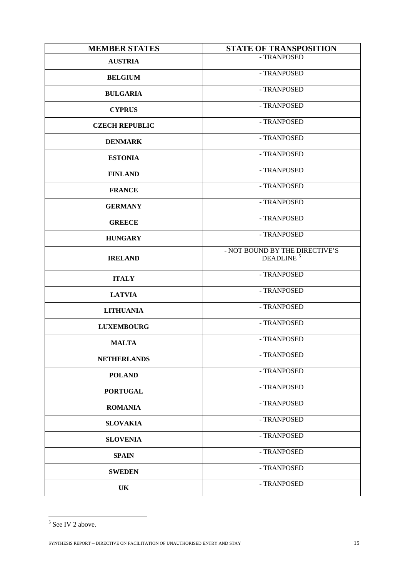| <b>MEMBER STATES</b>  | <b>STATE OF TRANSPOSITION</b>                           |
|-----------------------|---------------------------------------------------------|
| <b>AUSTRIA</b>        | - TRANPOSED                                             |
| <b>BELGIUM</b>        | - TRANPOSED                                             |
| <b>BULGARIA</b>       | - TRANPOSED                                             |
| <b>CYPRUS</b>         | - TRANPOSED                                             |
| <b>CZECH REPUBLIC</b> | - TRANPOSED                                             |
| <b>DENMARK</b>        | - TRANPOSED                                             |
| <b>ESTONIA</b>        | - TRANPOSED                                             |
| <b>FINLAND</b>        | - TRANPOSED                                             |
| <b>FRANCE</b>         | - TRANPOSED                                             |
| <b>GERMANY</b>        | - TRANPOSED                                             |
| <b>GREECE</b>         | - TRANPOSED                                             |
| <b>HUNGARY</b>        | - TRANPOSED                                             |
| <b>IRELAND</b>        | - NOT BOUND BY THE DIRECTIVE'S<br>DEADLINE <sup>5</sup> |
| <b>ITALY</b>          | - TRANPOSED                                             |
| <b>LATVIA</b>         | - TRANPOSED                                             |
| <b>LITHUANIA</b>      | - TRANPOSED                                             |
| <b>LUXEMBOURG</b>     | - TRANPOSED                                             |
| <b>MALTA</b>          | - TRANPOSED                                             |
| <b>NETHERLANDS</b>    | - TRANPOSED                                             |
| <b>POLAND</b>         | - TRANPOSED                                             |
| <b>PORTUGAL</b>       | - TRANPOSED                                             |
| <b>ROMANIA</b>        | - TRANPOSED                                             |
| <b>SLOVAKIA</b>       | - TRANPOSED                                             |
| <b>SLOVENIA</b>       | - TRANPOSED                                             |
| <b>SPAIN</b>          | - TRANPOSED                                             |
| <b>SWEDEN</b>         | - TRANPOSED                                             |
| UK                    | - TRANPOSED                                             |

<span id="page-14-0"></span> $5$  See IV 2 above.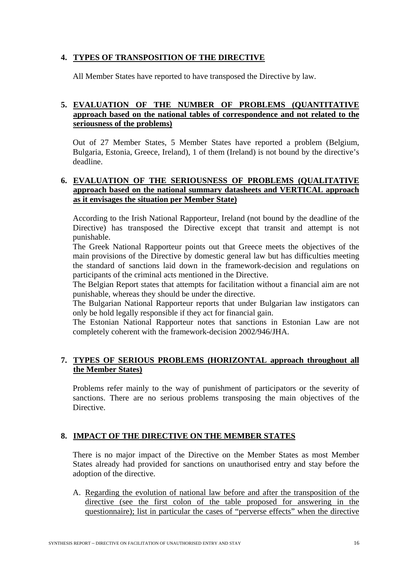## **4. TYPES OF TRANSPOSITION OF THE DIRECTIVE**

All Member States have reported to have transposed the Directive by law.

## **5. EVALUATION OF THE NUMBER OF PROBLEMS (QUANTITATIVE approach based on the national tables of correspondence and not related to the seriousness of the problems)**

Out of 27 Member States, 5 Member States have reported a problem (Belgium, Bulgaria, Estonia, Greece, Ireland), 1 of them (Ireland) is not bound by the directive's deadline.

## **6. EVALUATION OF THE SERIOUSNESS OF PROBLEMS (QUALITATIVE approach based on the national summary datasheets and VERTICAL approach as it envisages the situation per Member State)**

According to the Irish National Rapporteur, Ireland (not bound by the deadline of the Directive) has transposed the Directive except that transit and attempt is not punishable.

The Greek National Rapporteur points out that Greece meets the objectives of the main provisions of the Directive by domestic general law but has difficulties meeting the standard of sanctions laid down in the framework-decision and regulations on participants of the criminal acts mentioned in the Directive.

The Belgian Report states that attempts for facilitation without a financial aim are not punishable, whereas they should be under the directive.

The Bulgarian National Rapporteur reports that under Bulgarian law instigators can only be hold legally responsible if they act for financial gain.

The Estonian National Rapporteur notes that sanctions in Estonian Law are not completely coherent with the framework-decision 2002/946/JHA.

## **7. TYPES OF SERIOUS PROBLEMS (HORIZONTAL approach throughout all the Member States)**

Problems refer mainly to the way of punishment of participators or the severity of sanctions. There are no serious problems transposing the main objectives of the Directive.

## **8. IMPACT OF THE DIRECTIVE ON THE MEMBER STATES**

There is no major impact of the Directive on the Member States as most Member States already had provided for sanctions on unauthorised entry and stay before the adoption of the directive.

A. Regarding the evolution of national law before and after the transposition of the directive (see the first colon of the table proposed for answering in the questionnaire); list in particular the cases of "perverse effects" when the directive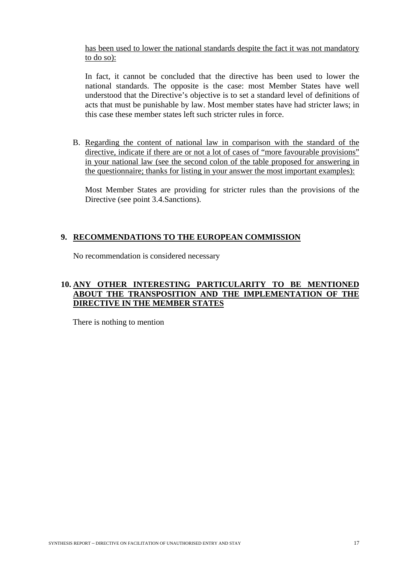has been used to lower the national standards despite the fact it was not mandatory to do so):

In fact, it cannot be concluded that the directive has been used to lower the national standards. The opposite is the case: most Member States have well understood that the Directive's objective is to set a standard level of definitions of acts that must be punishable by law. Most member states have had stricter laws; in this case these member states left such stricter rules in force.

B. Regarding the content of national law in comparison with the standard of the directive, indicate if there are or not a lot of cases of "more favourable provisions" in your national law (see the second colon of the table proposed for answering in the questionnaire; thanks for listing in your answer the most important examples):

Most Member States are providing for stricter rules than the provisions of the Directive (see point 3.4.Sanctions).

## **9. RECOMMENDATIONS TO THE EUROPEAN COMMISSION**

No recommendation is considered necessary

## **10. ANY OTHER INTERESTING PARTICULARITY TO BE MENTIONED ABOUT THE TRANSPOSITION AND THE IMPLEMENTATION OF THE DIRECTIVE IN THE MEMBER STATES**

There is nothing to mention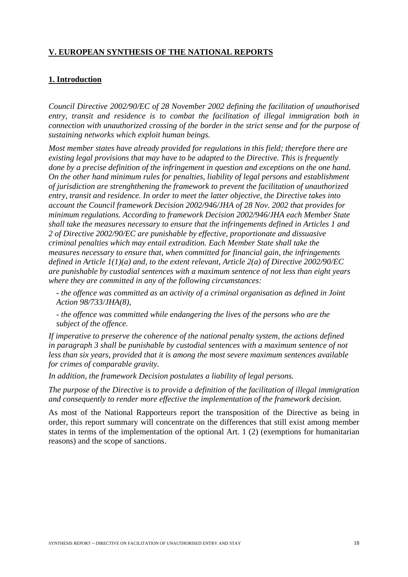## **V. EUROPEAN SYNTHESIS OF THE NATIONAL REPORTS**

## **1. Introduction**

*Council Directive 2002/90/EC of 28 November 2002 defining the facilitation of unauthorised*  entry, transit and residence is to combat the facilitation of illegal immigration both in *connection with unauthorized crossing of the border in the strict sense and for the purpose of sustaining networks which exploit human beings.* 

*Most member states have already provided for regulations in this field; therefore there are existing legal provisions that may have to be adapted to the Directive. This is frequently done by a precise definition of the infringement in question and exceptions on the one hand. On the other hand minimum rules for penalties, liability of legal persons and establishment of jurisdiction are strenghthening the framework to prevent the facilitation of unauthorized entry, transit and residence. In order to meet the latter objective, the Directive takes into account the Council framework Decision 2002/946/JHA of 28 Nov. 2002 that provides for minimum regulations. According to framework Decision 2002/946/JHA each Member State shall take the measures necessary to ensure that the infringements defined in Articles 1 and 2 of Directive 2002/90/EC are punishable by effective, proportionate and dissuasive criminal penalties which may entail extradition. Each Member State shall take the measures necessary to ensure that, when committed for financial gain, the infringements defined in Article 1(1)(a) and, to the extent relevant, Article 2(a) of Directive 2002/90/EC are punishable by custodial sentences with a maximum sentence of not less than eight years where they are committed in any of the following circumstances:* 

*- the offence was committed as an activity of a criminal organisation as defined in Joint Action 98/733/JHA(8),* 

*- the offence was committed while endangering the lives of the persons who are the subject of the offence.* 

*If imperative to preserve the coherence of the national penalty system, the actions defined in paragraph 3 shall be punishable by custodial sentences with a maximum sentence of not less than six years, provided that it is among the most severe maximum sentences available for crimes of comparable gravity.* 

*In addition, the framework Decision postulates a liability of legal persons.* 

*The purpose of the Directive is to provide a definition of the facilitation of illegal immigration and consequently to render more effective the implementation of the framework decision.* 

As most of the National Rapporteurs report the transposition of the Directive as being in order, this report summary will concentrate on the differences that still exist among member states in terms of the implementation of the optional Art. 1 (2) (exemptions for humanitarian reasons) and the scope of sanctions.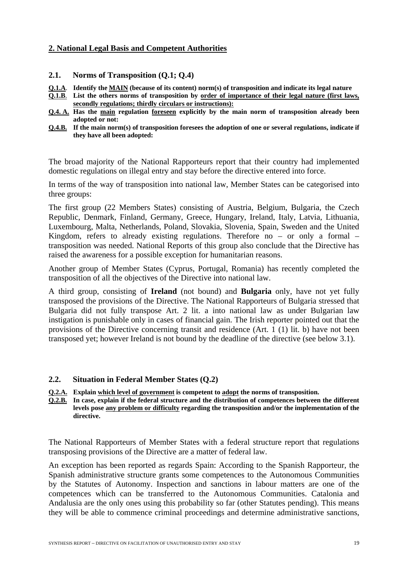## **2. National Legal Basis and Competent Authorities**

- **2.1. Norms of Transposition (Q.1; Q.4)**
- **Q.1.A**. **Identify the MAIN (because of its content) norm(s) of transposition and indicate its legal nature**
- **Q.1.B**. **List the others norms of transposition by order of importance of their legal nature (first laws, secondly regulations; thirdly circulars or instructions):**
- **Q.4. A. Has the main regulation foreseen explicitly by the main norm of transposition already been adopted or not:**
- **Q.4.B. If the main norm(s) of transposition foresees the adoption of one or several regulations, indicate if they have all been adopted:**

The broad majority of the National Rapporteurs report that their country had implemented domestic regulations on illegal entry and stay before the directive entered into force.

In terms of the way of transposition into national law, Member States can be categorised into three groups:

The first group (22 Members States) consisting of Austria, Belgium, Bulgaria, the Czech Republic, Denmark, Finland, Germany, Greece, Hungary, Ireland, Italy, Latvia, Lithuania, Luxembourg, Malta, Netherlands, Poland, Slovakia, Slovenia, Spain, Sweden and the United Kingdom, refers to already existing regulations. Therefore no  $-$  or only a formal  $$ transposition was needed. National Reports of this group also conclude that the Directive has raised the awareness for a possible exception for humanitarian reasons.

Another group of Member States (Cyprus, Portugal, Romania) has recently completed the transposition of all the objectives of the Directive into national law.

A third group, consisting of **Ireland** (not bound) and **Bulgaria** only, have not yet fully transposed the provisions of the Directive. The National Rapporteurs of Bulgaria stressed that Bulgaria did not fully transpose Art. 2 lit. a into national law as under Bulgarian law instigation is punishable only in cases of financial gain. The Irish reporter pointed out that the provisions of the Directive concerning transit and residence (Art. 1 (1) lit. b) have not been transposed yet; however Ireland is not bound by the deadline of the directive (see below 3.1).

#### **2.2. Situation in Federal Member States (Q.2)**

**Q.2.A. Explain which level of government is competent to adopt the norms of transposition.** 

**Q.2.B. In case, explain if the federal structure and the distribution of competences between the different levels pose any problem or difficulty regarding the transposition and/or the implementation of the directive.**

The National Rapporteurs of Member States with a federal structure report that regulations transposing provisions of the Directive are a matter of federal law.

An exception has been reported as regards Spain: According to the Spanish Rapporteur, the Spanish administrative structure grants some competences to the Autonomous Communities by the Statutes of Autonomy. Inspection and sanctions in labour matters are one of the competences which can be transferred to the Autonomous Communities. Catalonia and Andalusia are the only ones using this probability so far (other Statutes pending). This means they will be able to commence criminal proceedings and determine administrative sanctions,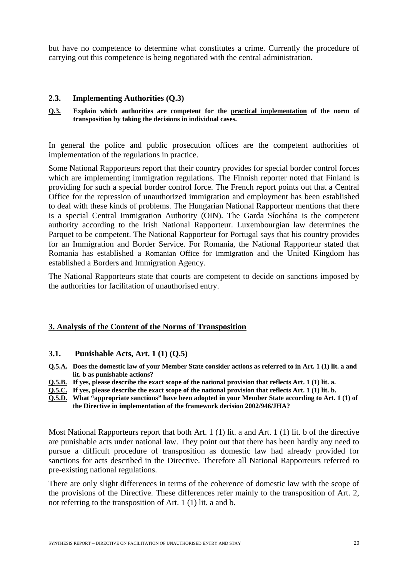but have no competence to determine what constitutes a crime. Currently the procedure of carrying out this competence is being negotiated with the central administration.

#### **2.3. Implementing Authorities (Q.3)**

**Q.3. Explain which authorities are competent for the practical implementation of the norm of transposition by taking the decisions in individual cases.** 

In general the police and public prosecution offices are the competent authorities of implementation of the regulations in practice.

Some National Rapporteurs report that their country provides for special border control forces which are implementing immigration regulations. The Finnish reporter noted that Finland is providing for such a special border control force. The French report points out that a Central Office for the repression of unauthorized immigration and employment has been established to deal with these kinds of problems. The Hungarian National Rapporteur mentions that there is a special Central Immigration Authority (OIN). The Garda Síochána is the competent authority according to the Irish National Rapporteur. Luxembourgian law determines the Parquet to be competent. The National Rapporteur for Portugal says that his country provides for an Immigration and Border Service. For Romania, the National Rapporteur stated that Romania has established a Romanian Office for Immigration and the United Kingdom has established a Borders and Immigration Agency.

The National Rapporteurs state that courts are competent to decide on sanctions imposed by the authorities for facilitation of unauthorised entry.

#### **3. Analysis of the Content of the Norms of Transposition**

#### **3.1. Punishable Acts, Art. 1 (1) (Q.5)**

- **Q.5.A. Does the domestic law of your Member State consider actions as referred to in Art. 1 (1) lit. a and lit. b as punishable actions?**
- **Q.5.B. If yes, please describe the exact scope of the national provision that reflects Art. 1 (1) lit. a.**
- **Q.5.C. If yes, please describe the exact scope of the national provision that reflects Art. 1 (1) lit. b.**
- **Q.5.D. What "appropriate sanctions" have been adopted in your Member State according to Art. 1 (1) of the Directive in implementation of the framework decision 2002/946/JHA?**

Most National Rapporteurs report that both Art. 1 (1) lit. a and Art. 1 (1) lit. b of the directive are punishable acts under national law. They point out that there has been hardly any need to pursue a difficult procedure of transposition as domestic law had already provided for sanctions for acts described in the Directive. Therefore all National Rapporteurs referred to pre-existing national regulations.

There are only slight differences in terms of the coherence of domestic law with the scope of the provisions of the Directive. These differences refer mainly to the transposition of Art. 2, not referring to the transposition of Art. 1 (1) lit. a and b.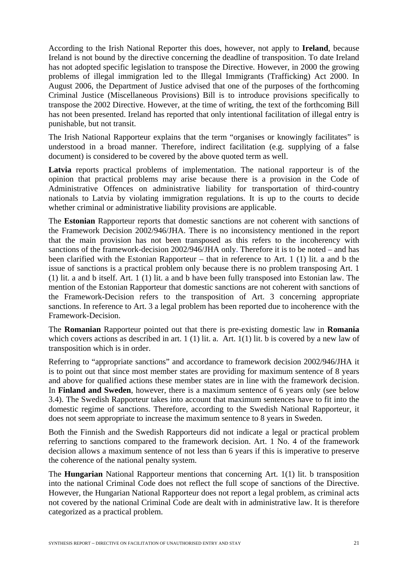According to the Irish National Reporter this does, however, not apply to **Ireland**, because Ireland is not bound by the directive concerning the deadline of transposition. To date Ireland has not adopted specific legislation to transpose the Directive. However, in 2000 the growing problems of illegal immigration led to the Illegal Immigrants (Trafficking) Act 2000. In August 2006, the Department of Justice advised that one of the purposes of the forthcoming Criminal Justice (Miscellaneous Provisions) Bill is to introduce provisions specifically to transpose the 2002 Directive. However, at the time of writing, the text of the forthcoming Bill has not been presented. Ireland has reported that only intentional facilitation of illegal entry is punishable, but not transit.

The Irish National Rapporteur explains that the term "organises or knowingly facilitates" is understood in a broad manner. Therefore, indirect facilitation (e.g. supplying of a false document) is considered to be covered by the above quoted term as well.

Latvia reports practical problems of implementation. The national rapporteur is of the opinion that practical problems may arise because there is a provision in the Code of Administrative Offences on administrative liability for transportation of third-country nationals to Latvia by violating immigration regulations. It is up to the courts to decide whether criminal or administrative liability provisions are applicable.

The **Estonian** Rapporteur reports that domestic sanctions are not coherent with sanctions of the Framework Decision 2002/946/JHA. There is no inconsistency mentioned in the report that the main provision has not been transposed as this refers to the incoherency with sanctions of the framework-decision 2002/946/JHA only. Therefore it is to be noted – and has been clarified with the Estonian Rapporteur – that in reference to Art. 1 (1) lit. a and b the issue of sanctions is a practical problem only because there is no problem transposing Art. 1 (1) lit. a and b itself. Art. 1 (1) lit. a and b have been fully transposed into Estonian law. The mention of the Estonian Rapporteur that domestic sanctions are not coherent with sanctions of the Framework-Decision refers to the transposition of Art. 3 concerning appropriate sanctions. In reference to Art. 3 a legal problem has been reported due to incoherence with the Framework-Decision.

The **Romanian** Rapporteur pointed out that there is pre-existing domestic law in **Romania** which covers actions as described in art. 1 (1) lit. a. Art. 1(1) lit. b is covered by a new law of transposition which is in order.

Referring to "appropriate sanctions" and accordance to framework decision 2002/946/JHA it is to point out that since most member states are providing for maximum sentence of 8 years and above for qualified actions these member states are in line with the framework decision. In **Finland and Sweden**, however, there is a maximum sentence of 6 years only (see below 3.4). The Swedish Rapporteur takes into account that maximum sentences have to fit into the domestic regime of sanctions. Therefore, according to the Swedish National Rapporteur, it does not seem appropriate to increase the maximum sentence to 8 years in Sweden.

Both the Finnish and the Swedish Rapporteurs did not indicate a legal or practical problem referring to sanctions compared to the framework decision. Art. 1 No. 4 of the framework decision allows a maximum sentence of not less than 6 years if this is imperative to preserve the coherence of the national penalty system.

The **Hungarian** National Rapporteur mentions that concerning Art. 1(1) lit. b transposition into the national Criminal Code does not reflect the full scope of sanctions of the Directive. However, the Hungarian National Rapporteur does not report a legal problem, as criminal acts not covered by the national Criminal Code are dealt with in administrative law. It is therefore categorized as a practical problem.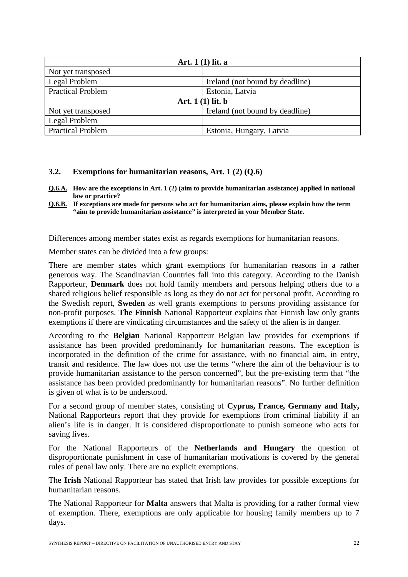| Art. $1(1)$ lit. a       |                                 |  |
|--------------------------|---------------------------------|--|
| Not yet transposed       |                                 |  |
| Legal Problem            | Ireland (not bound by deadline) |  |
| <b>Practical Problem</b> | Estonia, Latvia                 |  |
| Art. $1(1)$ lit. b       |                                 |  |
| Not yet transposed       | Ireland (not bound by deadline) |  |
| Legal Problem            |                                 |  |
| <b>Practical Problem</b> | Estonia, Hungary, Latvia        |  |

#### **3.2. Exemptions for humanitarian reasons, Art. 1 (2) (Q.6)**

- **Q.6.A. How are the exceptions in Art. 1 (2) (aim to provide humanitarian assistance) applied in national law or practice?**
- **Q.6.B. If exceptions are made for persons who act for humanitarian aims, please explain how the term "aim to provide humanitarian assistance" is interpreted in your Member State.**

Differences among member states exist as regards exemptions for humanitarian reasons.

Member states can be divided into a few groups:

There are member states which grant exemptions for humanitarian reasons in a rather generous way. The Scandinavian Countries fall into this category. According to the Danish Rapporteur, **Denmark** does not hold family members and persons helping others due to a shared religious belief responsible as long as they do not act for personal profit. According to the Swedish report, **Sweden** as well grants exemptions to persons providing assistance for non-profit purposes. **The Finnish** National Rapporteur explains that Finnish law only grants exemptions if there are vindicating circumstances and the safety of the alien is in danger.

According to the **Belgian** National Rapporteur Belgian law provides for exemptions if assistance has been provided predominantly for humanitarian reasons. The exception is incorporated in the definition of the crime for assistance, with no financial aim, in entry, transit and residence. The law does not use the terms "where the aim of the behaviour is to provide humanitarian assistance to the person concerned", but the pre-existing term that "the assistance has been provided predominantly for humanitarian reasons". No further definition is given of what is to be understood.

For a second group of member states, consisting of **Cyprus, France, Germany and Italy,** National Rapporteurs report that they provide for exemptions from criminal liability if an alien's life is in danger. It is considered disproportionate to punish someone who acts for saving lives.

For the National Rapporteurs of the **Netherlands and Hungary** the question of disproportionate punishment in case of humanitarian motivations is covered by the general rules of penal law only. There are no explicit exemptions.

The **Irish** National Rapporteur has stated that Irish law provides for possible exceptions for humanitarian reasons.

The National Rapporteur for **Malta** answers that Malta is providing for a rather formal view of exemption. There, exemptions are only applicable for housing family members up to 7 days.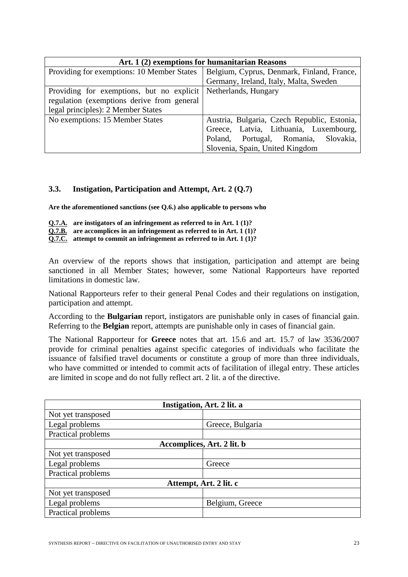| Art. 1 (2) exemptions for humanitarian Reasons |                                             |  |
|------------------------------------------------|---------------------------------------------|--|
| Providing for exemptions: 10 Member States     | Belgium, Cyprus, Denmark, Finland, France,  |  |
|                                                | Germany, Ireland, Italy, Malta, Sweden      |  |
| Providing for exemptions, but no explicit      | Netherlands, Hungary                        |  |
| regulation (exemptions derive from general     |                                             |  |
| legal principles): 2 Member States             |                                             |  |
| No exemptions: 15 Member States                | Austria, Bulgaria, Czech Republic, Estonia, |  |
|                                                | Greece, Latvia, Lithuania, Luxembourg,      |  |
|                                                | Portugal, Romania,<br>Slovakia,<br>Poland,  |  |
|                                                | Slovenia, Spain, United Kingdom             |  |

#### **3.3. Instigation, Participation and Attempt, Art. 2 (Q.7)**

**Are the aforementioned sanctions (see Q.6.) also applicable to persons who** 

**Q.7.A. are instigators of an infringement as referred to in Art. 1 (1)? Q.7.B.** are accomplices in an infringement as referred to in Art. 1 (1)?

**Q.7.C. attempt to commit an infringement as referred to in Art. 1 (1)?** 

An overview of the reports shows that instigation, participation and attempt are being sanctioned in all Member States; however, some National Rapporteurs have reported limitations in domestic law.

National Rapporteurs refer to their general Penal Codes and their regulations on instigation, participation and attempt.

According to the **Bulgarian** report, instigators are punishable only in cases of financial gain. Referring to the **Belgian** report, attempts are punishable only in cases of financial gain.

The National Rapporteur for **Greece** notes that art. 15.6 and art. 15.7 of law 3536/2007 provide for criminal penalties against specific categories of individuals who facilitate the issuance of falsified travel documents or constitute a group of more than three individuals, who have committed or intended to commit acts of facilitation of illegal entry. These articles are limited in scope and do not fully reflect art. 2 lit. a of the directive.

| Instigation, Art. 2 lit. a |                  |  |
|----------------------------|------------------|--|
| Not yet transposed         |                  |  |
| Legal problems             | Greece, Bulgaria |  |
| Practical problems         |                  |  |
| Accomplices, Art. 2 lit. b |                  |  |
| Not yet transposed         |                  |  |
| Legal problems             | Greece           |  |
| Practical problems         |                  |  |
| Attempt, Art. 2 lit. c     |                  |  |
| Not yet transposed         |                  |  |
| Legal problems             | Belgium, Greece  |  |
| Practical problems         |                  |  |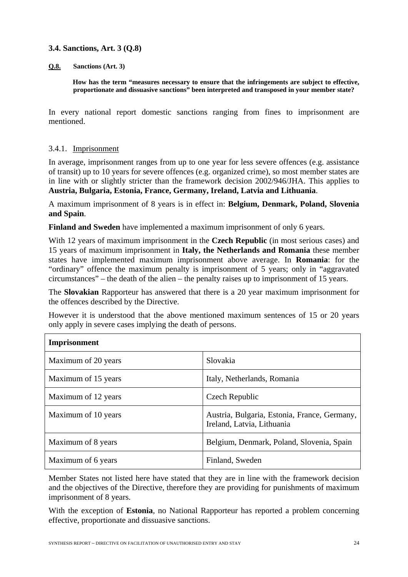#### **3.4. Sanctions, Art. 3 (Q.8)**

#### **Q.8. Sanctions (Art. 3)**

**How has the term "measures necessary to ensure that the infringements are subject to effective, proportionate and dissuasive sanctions" been interpreted and transposed in your member state?** 

In every national report domestic sanctions ranging from fines to imprisonment are mentioned.

## 3.4.1. Imprisonment

In average, imprisonment ranges from up to one year for less severe offences (e.g. assistance of transit) up to 10 years for severe offences (e.g. organized crime), so most member states are in line with or slightly stricter than the framework decision 2002/946/JHA. This applies to **Austria, Bulgaria, Estonia, France, Germany, Ireland, Latvia and Lithuania**.

A maximum imprisonment of 8 years is in effect in: **Belgium, Denmark, Poland, Slovenia and Spain**.

**Finland and Sweden** have implemented a maximum imprisonment of only 6 years.

With 12 years of maximum imprisonment in the **Czech Republic** (in most serious cases) and 15 years of maximum imprisonment in **Italy, the Netherlands and Romania** these member states have implemented maximum imprisonment above average. In **Romania**: for the "ordinary" offence the maximum penalty is imprisonment of 5 years; only in "aggravated circumstances" – the death of the alien – the penalty raises up to imprisonment of 15 years.

The **Slovakian** Rapporteur has answered that there is a 20 year maximum imprisonment for the offences described by the Directive.

However it is understood that the above mentioned maximum sentences of 15 or 20 years only apply in severe cases implying the death of persons.

| Imprisonment        |                                                                            |  |
|---------------------|----------------------------------------------------------------------------|--|
| Maximum of 20 years | Slovakia                                                                   |  |
| Maximum of 15 years | Italy, Netherlands, Romania                                                |  |
| Maximum of 12 years | Czech Republic                                                             |  |
| Maximum of 10 years | Austria, Bulgaria, Estonia, France, Germany,<br>Ireland, Latvia, Lithuania |  |
| Maximum of 8 years  | Belgium, Denmark, Poland, Slovenia, Spain                                  |  |
| Maximum of 6 years  | Finland, Sweden                                                            |  |

Member States not listed here have stated that they are in line with the framework decision and the objectives of the Directive, therefore they are providing for punishments of maximum imprisonment of 8 years.

With the exception of **Estonia**, no National Rapporteur has reported a problem concerning effective, proportionate and dissuasive sanctions.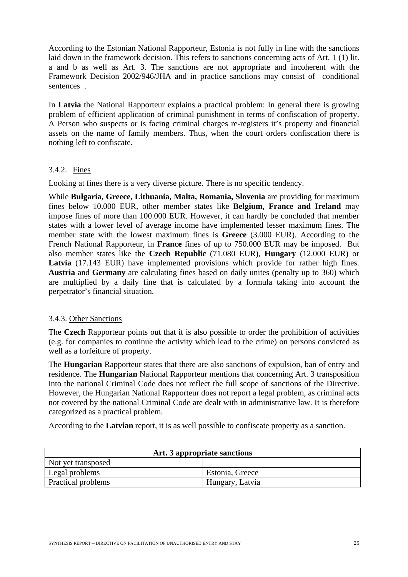According to the Estonian National Rapporteur, Estonia is not fully in line with the sanctions laid down in the framework decision. This refers to sanctions concerning acts of Art. 1 (1) lit. a and b as well as Art. 3. The sanctions are not appropriate and incoherent with the Framework Decision 2002/946/JHA and in practice sanctions may consist of conditional sentences .

In **Latvia** the National Rapporteur explains a practical problem: In general there is growing problem of efficient application of criminal punishment in terms of confiscation of property. A Person who suspects or is facing criminal charges re-registers it's property and financial assets on the name of family members. Thus, when the court orders confiscation there is nothing left to confiscate.

## 3.4.2. Fines

Looking at fines there is a very diverse picture. There is no specific tendency.

While **Bulgaria, Greece, Lithuania, Malta, Romania, Slovenia** are providing for maximum fines below 10.000 EUR, other member states like **Belgium, France and Ireland** may impose fines of more than 100.000 EUR. However, it can hardly be concluded that member states with a lower level of average income have implemented lesser maximum fines. The member state with the lowest maximum fines is **Greece** (3.000 EUR). According to the French National Rapporteur, in **France** fines of up to 750.000 EUR may be imposed. But also member states like the **Czech Republic** (71.080 EUR), **Hungary** (12.000 EUR) or Latvia (17.143 EUR) have implemented provisions which provide for rather high fines. **Austria** and **Germany** are calculating fines based on daily unites (penalty up to 360) which are multiplied by a daily fine that is calculated by a formula taking into account the perpetrator's financial situation.

#### 3.4.3. Other Sanctions

The **Czech** Rapporteur points out that it is also possible to order the prohibition of activities (e.g. for companies to continue the activity which lead to the crime) on persons convicted as well as a forfeiture of property.

The **Hungarian** Rapporteur states that there are also sanctions of expulsion, ban of entry and residence. The **Hungarian** National Rapporteur mentions that concerning Art. 3 transposition into the national Criminal Code does not reflect the full scope of sanctions of the Directive. However, the Hungarian National Rapporteur does not report a legal problem, as criminal acts not covered by the national Criminal Code are dealt with in administrative law. It is therefore categorized as a practical problem.

According to the **Latvian** report, it is as well possible to confiscate property as a sanction.

| Art. 3 appropriate sanctions |                 |  |
|------------------------------|-----------------|--|
| Not yet transposed           |                 |  |
| Legal problems               | Estonia, Greece |  |
| Practical problems           | Hungary, Latvia |  |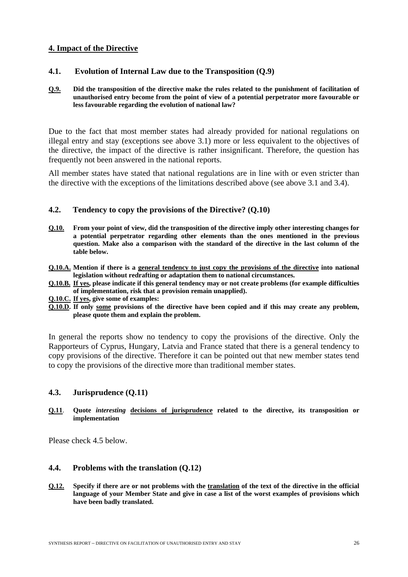## **4. Impact of the Directive**

#### **4.1. Evolution of Internal Law due to the Transposition (Q.9)**

#### **Q.9. Did the transposition of the directive make the rules related to the punishment of facilitation of unauthorised entry become from the point of view of a potential perpetrator more favourable or less favourable regarding the evolution of national law?**

Due to the fact that most member states had already provided for national regulations on illegal entry and stay (exceptions see above 3.1) more or less equivalent to the objectives of the directive, the impact of the directive is rather insignificant. Therefore, the question has frequently not been answered in the national reports.

All member states have stated that national regulations are in line with or even stricter than the directive with the exceptions of the limitations described above (see above 3.1 and 3.4).

#### **4.2. Tendency to copy the provisions of the Directive? (Q.10)**

- **Q.10. From your point of view, did the transposition of the directive imply other interesting changes for a potential perpetrator regarding other elements than the ones mentioned in the previous question. Make also a comparison with the standard of the directive in the last column of the table below.**
- **Q.10.A. Mention if there is a general tendency to just copy the provisions of the directive into national legislation without redrafting or adaptation them to national circumstances.**
- **Q.10.B. If yes, please indicate if this general tendency may or not create problems (for example difficulties of implementation, risk that a provision remain unapplied).**
- **Q.10.C. If yes, give some of examples:**
- **Q.10.D. If only some provisions of the directive have been copied and if this may create any problem, please quote them and explain the problem.**

In general the reports show no tendency to copy the provisions of the directive. Only the Rapporteurs of Cyprus, Hungary, Latvia and France stated that there is a general tendency to copy provisions of the directive. Therefore it can be pointed out that new member states tend to copy the provisions of the directive more than traditional member states.

#### **4.3. Jurisprudence (Q.11)**

#### **Q.11**. **Quote** *interesting* **decisions of jurisprudence related to the directive, its transposition or implementation**

Please check 4.5 below.

#### **4.4. Problems with the translation (Q.12)**

**Q.12. Specify if there are or not problems with the translation of the text of the directive in the official language of your Member State and give in case a list of the worst examples of provisions which have been badly translated.**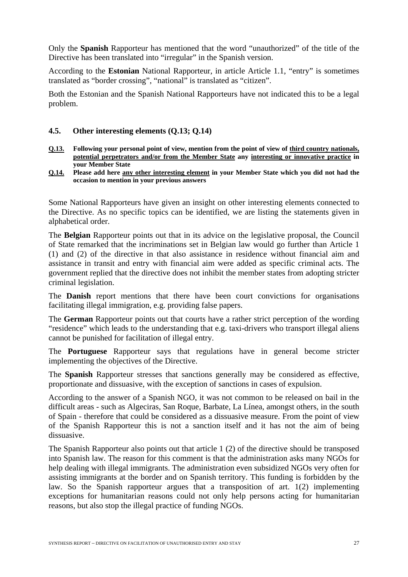Only the **Spanish** Rapporteur has mentioned that the word "unauthorized" of the title of the Directive has been translated into "irregular" in the Spanish version.

According to the **Estonian** National Rapporteur, in article Article 1.1, "entry" is sometimes translated as "border crossing", "national" is translated as "citizen".

Both the Estonian and the Spanish National Rapporteurs have not indicated this to be a legal problem.

#### **4.5. Other interesting elements (Q.13; Q.14)**

- **Q.13. Following your personal point of view, mention from the point of view of third country nationals, potential perpetrators and/or from the Member State any interesting or innovative practice in your Member State**
- **Q.14. Please add here any other interesting element in your Member State which you did not had the occasion to mention in your previous answers**

Some National Rapporteurs have given an insight on other interesting elements connected to the Directive. As no specific topics can be identified, we are listing the statements given in alphabetical order.

The **Belgian** Rapporteur points out that in its advice on the legislative proposal, the Council of State remarked that the incriminations set in Belgian law would go further than Article 1 (1) and (2) of the directive in that also assistance in residence without financial aim and assistance in transit and entry with financial aim were added as specific criminal acts. The government replied that the directive does not inhibit the member states from adopting stricter criminal legislation.

The **Danish** report mentions that there have been court convictions for organisations facilitating illegal immigration, e.g. providing false papers.

The **German** Rapporteur points out that courts have a rather strict perception of the wording "residence" which leads to the understanding that e.g. taxi-drivers who transport illegal aliens cannot be punished for facilitation of illegal entry.

The **Portuguese** Rapporteur says that regulations have in general become stricter implementing the objectives of the Directive.

The **Spanish** Rapporteur stresses that sanctions generally may be considered as effective, proportionate and dissuasive, with the exception of sanctions in cases of expulsion.

According to the answer of a Spanish NGO, it was not common to be released on bail in the difficult areas - such as Algeciras, San Roque, Barbate, La Línea, amongst others, in the south of Spain - therefore that could be considered as a dissuasive measure. From the point of view of the Spanish Rapporteur this is not a sanction itself and it has not the aim of being dissuasive.

The Spanish Rapporteur also points out that article 1 (2) of the directive should be transposed into Spanish law. The reason for this comment is that the administration asks many NGOs for help dealing with illegal immigrants. The administration even subsidized NGOs very often for assisting immigrants at the border and on Spanish territory. This funding is forbidden by the law. So the Spanish rapporteur argues that a transposition of art. 1(2) implementing exceptions for humanitarian reasons could not only help persons acting for humanitarian reasons, but also stop the illegal practice of funding NGOs.